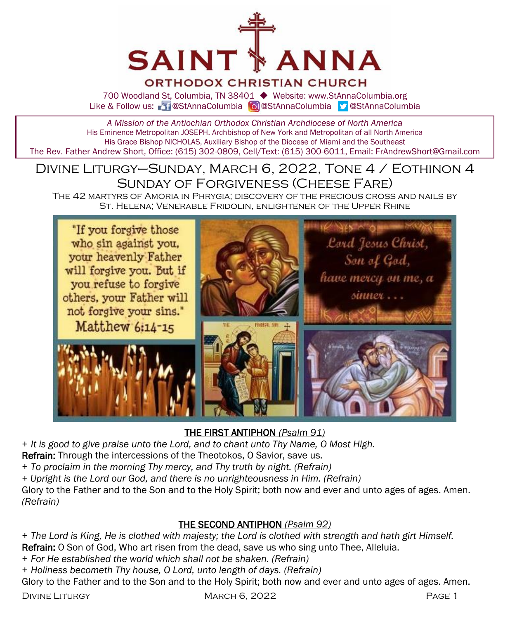

### ORTHODOX CHRISTIAN CHURCH

700 Woodland St, Columbia, TN 38401 ◆ Website: www.StAnnaColumbia.org Like & Follow us: 20 @StAnnaColumbia **@**StAnnaColumbia **@StAnnaColumbia** 

*A Mission of the Antiochian Orthodox Christian Archdiocese of North America* His Eminence Metropolitan JOSEPH, Archbishop of New York and Metropolitan of all North America His Grace Bishop NICHOLAS, Auxiliary Bishop of the Diocese of Miami and the Southeast The Rev. Father Andrew Short, Office: (615) 302-0809, Cell/Text: (615) 300-6011, Email: FrAndrewShort@Gmail.com

#### Divine Liturgy–Sunday, March 6, 2022, Tone 4 / Eothinon 4 Sunday of Forgiveness (Cheese Fare) The 42 martyrs of Amoria in Phrygia; discovery of the precious cross and nails by

St. Helena; Venerable Fridolin, enlightener of the Upper Rhine



#### THE FIRST ANTIPHON *(Psalm 91)*

*+ It is good to give praise unto the Lord, and to chant unto Thy Name, O Most High.*

Refrain: Through the intercessions of the Theotokos, O Savior, save us.

*+ To proclaim in the morning Thy mercy, and Thy truth by night. (Refrain)*

*+ Upright is the Lord our God, and there is no unrighteousness in Him. (Refrain)*

Glory to the Father and to the Son and to the Holy Spirit; both now and ever and unto ages of ages. Amen. *(Refrain)*

#### THE SECOND ANTIPHON *(Psalm 92)*

*+ The Lord is King, He is clothed with majesty; the Lord is clothed with strength and hath girt Himself.* Refrain: O Son of God, Who art risen from the dead, save us who sing unto Thee, Alleluia.

- *+ For He established the world which shall not be shaken. (Refrain)*
- *+ Holiness becometh Thy house, O Lord, unto length of days. (Refrain)*

Glory to the Father and to the Son and to the Holy Spirit; both now and ever and unto ages of ages. Amen.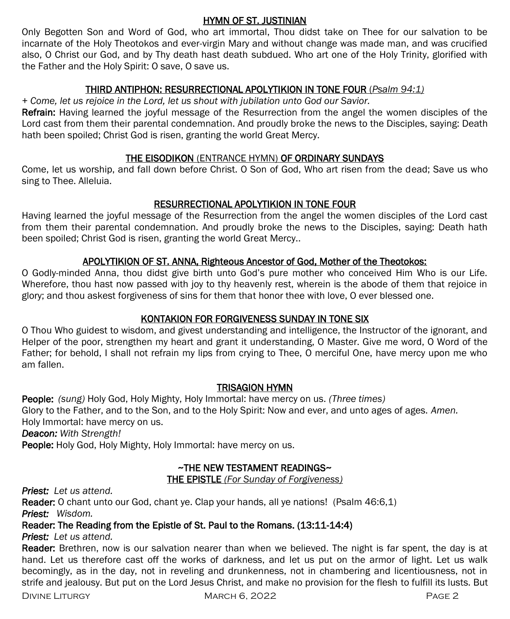#### HYMN OF ST. JUSTINIAN

Only Begotten Son and Word of God, who art immortal, Thou didst take on Thee for our salvation to be incarnate of the Holy Theotokos and ever-virgin Mary and without change was made man, and was crucified also, O Christ our God, and by Thy death hast death subdued. Who art one of the Holy Trinity, glorified with the Father and the Holy Spirit: O save, O save us.

#### THIRD ANTIPHON: RESURRECTIONAL APOLYTIKION IN TONE FOUR (*Psalm 94:1)*

*+ Come, let us rejoice in the Lord, let us shout with jubilation unto God our Savior.* 

Refrain: Having learned the joyful message of the Resurrection from the angel the women disciples of the Lord cast from them their parental condemnation. And proudly broke the news to the Disciples, saying: Death hath been spoiled; Christ God is risen, granting the world Great Mercy.

#### THE EISODIKON (ENTRANCE HYMN) OF ORDINARY SUNDAYS

Come, let us worship, and fall down before Christ. O Son of God, Who art risen from the dead; Save us who sing to Thee. Alleluia.

#### RESURRECTIONAL APOLYTIKION IN TONE FOUR

Having learned the joyful message of the Resurrection from the angel the women disciples of the Lord cast from them their parental condemnation. And proudly broke the news to the Disciples, saying: Death hath been spoiled; Christ God is risen, granting the world Great Mercy..

#### APOLYTIKION OF ST. ANNA, Righteous Ancestor of God, Mother of the Theotokos:

O Godly-minded Anna, thou didst give birth unto God's pure mother who conceived Him Who is our Life. Wherefore, thou hast now passed with joy to thy heavenly rest, wherein is the abode of them that rejoice in glory; and thou askest forgiveness of sins for them that honor thee with love, O ever blessed one.

#### KONTAKION FOR FORGIVENESS SUNDAY IN TONE SIX

O Thou Who guidest to wisdom, and givest understanding and intelligence, the Instructor of the ignorant, and Helper of the poor, strengthen my heart and grant it understanding, O Master. Give me word, O Word of the Father; for behold, I shall not refrain my lips from crying to Thee, O merciful One, have mercy upon me who am fallen.

#### TRISAGION HYMN

People: *(sung)* Holy God, Holy Mighty, Holy Immortal: have mercy on us. *(Three times)*  Glory to the Father, and to the Son, and to the Holy Spirit: Now and ever, and unto ages of ages. *Amen.*  Holy Immortal: have mercy on us. *Deacon: With Strength!* People: Holy God, Holy Mighty, Holy Immortal: have mercy on us.

#### ~THE NEW TESTAMENT READINGS~

THE EPISTLE *(For Sunday of Forgiveness)* 

*Priest: Let us attend.*

Reader: O chant unto our God, chant ye. Clap your hands, all ye nations! (Psalm 46:6,1) *Priest: Wisdom.*

#### Reader: The Reading from the Epistle of St. Paul to the Romans. (13:11-14:4)

*Priest: Let us attend.*

Reader: Brethren, now is our salvation nearer than when we believed. The night is far spent, the day is at hand. Let us therefore cast off the works of darkness, and let us put on the armor of light. Let us walk becomingly, as in the day, not in reveling and drunkenness, not in chambering and licentiousness, not in strife and jealousy. But put on the Lord Jesus Christ, and make no provision for the flesh to fulfill its lusts. But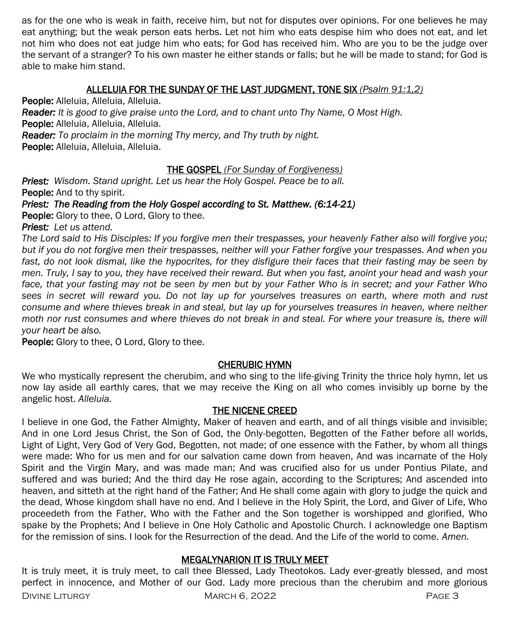as for the one who is weak in faith, receive him, but not for disputes over opinions. For one believes he may eat anything; but the weak person eats herbs. Let not him who eats despise him who does not eat, and let not him who does not eat judge him who eats; for God has received him. Who are you to be the judge over the servant of a stranger? To his own master he either stands or falls; but he will be made to stand; for God is able to make him stand.

#### ALLELUIA FOR THE SUNDAY OF THE LAST JUDGMENT, TONE SIX *(Psalm 91:1,2)*

People: Alleluia, Alleluia, Alleluia. *Reader: It is good to give praise unto the Lord, and to chant unto Thy Name, O Most High.* People: Alleluia, Alleluia, Alleluia. *Reader: To proclaim in the morning Thy mercy, and Thy truth by night.* People: Alleluia, Alleluia, Alleluia.

#### THE GOSPEL *(For Sunday of Forgiveness)*

*Priest: Wisdom. Stand upright. Let us hear the Holy Gospel. Peace be to all.* People: And to thy spirit.

*Priest: The Reading from the Holy Gospel according to St. Matthew. (6:14-21)* 

People: Glory to thee, O Lord, Glory to thee.

*Priest: Let us attend.* 

*The Lord said to His Disciples: If you forgive men their trespasses, your heavenly Father also will forgive you; but if you do not forgive men their trespasses, neither will your Father forgive your trespasses. And when you*  fast, do not look dismal, like the hypocrites, for they disfigure their faces that their fasting may be seen by *men. Truly, I say to you, they have received their reward. But when you fast, anoint your head and wash your face, that your fasting may not be seen by men but by your Father Who is in secret; and your Father Who sees in secret will reward you. Do not lay up for yourselves treasures on earth, where moth and rust consume and where thieves break in and steal, but lay up for yourselves treasures in heaven, where neither moth nor rust consumes and where thieves do not break in and steal. For where your treasure is, there will your heart be also.*

People: Glory to thee, O Lord, Glory to thee.

#### CHERUBIC HYMN

We who mystically represent the cherubim, and who sing to the life-giving Trinity the thrice holy hymn, let us now lay aside all earthly cares, that we may receive the King on all who comes invisibly up borne by the angelic host. *Alleluia.*

#### THE NICENE CREED

I believe in one God, the Father Almighty, Maker of heaven and earth, and of all things visible and invisible; And in one Lord Jesus Christ, the Son of God, the Only-begotten, Begotten of the Father before all worlds, Light of Light, Very God of Very God, Begotten, not made; of one essence with the Father, by whom all things were made: Who for us men and for our salvation came down from heaven, And was incarnate of the Holy Spirit and the Virgin Mary, and was made man; And was crucified also for us under Pontius Pilate, and suffered and was buried; And the third day He rose again, according to the Scriptures; And ascended into heaven, and sitteth at the right hand of the Father; And He shall come again with glory to judge the quick and the dead, Whose kingdom shall have no end. And I believe in the Holy Spirit, the Lord, and Giver of Life, Who proceedeth from the Father, Who with the Father and the Son together is worshipped and glorified, Who spake by the Prophets; And I believe in One Holy Catholic and Apostolic Church. I acknowledge one Baptism for the remission of sins. I look for the Resurrection of the dead. And the Life of the world to come. *Amen.*

#### MEGALYNARION IT IS TRULY MEET

DIVINE LITURGY CHARGE 3 MARCH 6, 2022 It is truly meet, it is truly meet, to call thee Blessed, Lady Theotokos. Lady ever-greatly blessed, and most perfect in innocence, and Mother of our God. Lady more precious than the cherubim and more glorious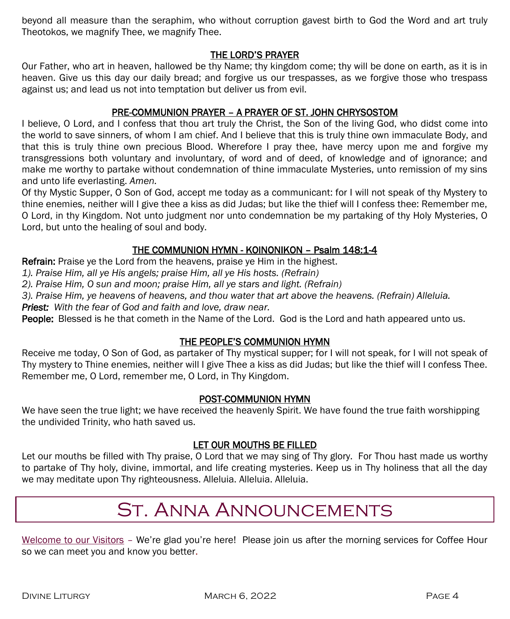beyond all measure than the seraphim, who without corruption gavest birth to God the Word and art truly Theotokos, we magnify Thee, we magnify Thee.

#### THE LORD'S PRAYER

Our Father, who art in heaven, hallowed be thy Name; thy kingdom come; thy will be done on earth, as it is in heaven. Give us this day our daily bread; and forgive us our trespasses, as we forgive those who trespass against us; and lead us not into temptation but deliver us from evil.

#### PRE-COMMUNION PRAYER – A PRAYER OF ST. JOHN CHRYSOSTOM

I believe, O Lord, and I confess that thou art truly the Christ, the Son of the living God, who didst come into the world to save sinners, of whom I am chief. And I believe that this is truly thine own immaculate Body, and that this is truly thine own precious Blood. Wherefore I pray thee, have mercy upon me and forgive my transgressions both voluntary and involuntary, of word and of deed, of knowledge and of ignorance; and make me worthy to partake without condemnation of thine immaculate Mysteries, unto remission of my sins and unto life everlasting. *Amen.*

Of thy Mystic Supper, O Son of God, accept me today as a communicant: for I will not speak of thy Mystery to thine enemies, neither will I give thee a kiss as did Judas; but like the thief will I confess thee: Remember me, O Lord, in thy Kingdom. Not unto judgment nor unto condemnation be my partaking of thy Holy Mysteries, O Lord, but unto the healing of soul and body.

#### THE COMMUNION HYMN - KOINONIKON – Psalm 148:1-4

Refrain: Praise ye the Lord from the heavens, praise ye Him in the highest.

*1). Praise Him, all ye His angels; praise Him, all ye His hosts. (Refrain)*

*2). Praise Him, O sun and moon; praise Him, all ye stars and light. (Refrain)*

*3). Praise Him, ye heavens of heavens, and thou water that art above the heavens. (Refrain) Alleluia.* 

*Priest: With the fear of God and faith and love, draw near.*

People: Blessed is he that cometh in the Name of the Lord. God is the Lord and hath appeared unto us.

#### THE PEOPLE'S COMMUNION HYMN

Receive me today, O Son of God, as partaker of Thy mystical supper; for I will not speak, for I will not speak of Thy mystery to Thine enemies, neither will I give Thee a kiss as did Judas; but like the thief will I confess Thee. Remember me, O Lord, remember me, O Lord, in Thy Kingdom.

#### POST-COMMUNION HYMN

We have seen the true light; we have received the heavenly Spirit. We have found the true faith worshipping the undivided Trinity, who hath saved us.

#### LET OUR MOUTHS BE FILLED

Let our mouths be filled with Thy praise, O Lord that we may sing of Thy glory. For Thou hast made us worthy to partake of Thy holy, divine, immortal, and life creating mysteries. Keep us in Thy holiness that all the day we may meditate upon Thy righteousness. Alleluia. Alleluia. Alleluia.

# St. Anna Announcements

Welcome to our Visitors – We're glad you're here! Please join us after the morning services for Coffee Hour so we can meet you and know you better.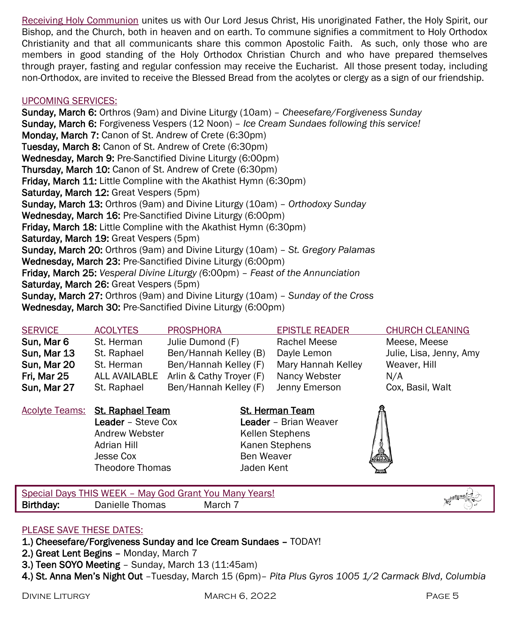Receiving Holy Communion unites us with Our Lord Jesus Christ, His unoriginated Father, the Holy Spirit, our Bishop, and the Church, both in heaven and on earth. To commune signifies a commitment to Holy Orthodox Christianity and that all communicants share this common Apostolic Faith. As such, only those who are members in good standing of the Holy Orthodox Christian Church and who have prepared themselves through prayer, fasting and regular confession may receive the Eucharist. All those present today, including non-Orthodox, are invited to receive the Blessed Bread from the acolytes or clergy as a sign of our friendship.

#### UPCOMING SERVICES:

Sunday, March 6: Orthros (9am) and Divine Liturgy (10am) – *Cheesefare/Forgiveness Sunday* Sunday, March 6: Forgiveness Vespers (12 Noon) – *Ice Cream Sundaes following this service!* Monday, March 7: Canon of St. Andrew of Crete (6:30pm) Tuesday, March 8: Canon of St. Andrew of Crete (6:30pm) Wednesday, March 9: Pre-Sanctified Divine Liturgy (6:00pm) Thursday, March 10: Canon of St. Andrew of Crete (6:30pm) Friday, March 11: Little Compline with the Akathist Hymn (6:30pm) Saturday, March 12: Great Vespers (5pm) Sunday, March 13: Orthros (9am) and Divine Liturgy (10am) – *Orthodoxy Sunday* Wednesday, March 16: Pre-Sanctified Divine Liturgy (6:00pm) Friday, March 18: Little Compline with the Akathist Hymn (6:30pm) Saturday, March 19: Great Vespers (5pm) Sunday, March 20: Orthros (9am) and Divine Liturgy (10am) – *St. Gregory Palamas* Wednesday, March 23: Pre-Sanctified Divine Liturgy (6:00pm) Friday, March 25: *Vesperal Divine Liturgy (*6:00pm) – *Feast of the Annunciation* Saturday, March 26: Great Vespers (5pm) Sunday, March 27: Orthros (9am) and Divine Liturgy (10am) – *Sunday of the Cross* Wednesday, March 30: Pre-Sanctified Divine Liturgy (6:00pm)

| <b>SERVICE</b> | <b>ACOLYTES</b>      | <b>PROSPHORA</b>         | <b>EPISTLE READER</b> | <b>CHURCH CLEANING</b>  |
|----------------|----------------------|--------------------------|-----------------------|-------------------------|
| Sun, Mar 6     | St. Herman           | Julie Dumond (F)         | Rachel Meese          | Meese, Meese            |
| Sun, Mar 13    | St. Raphael          | Ben/Hannah Kelley (B)    | Dayle Lemon           | Julie, Lisa, Jenny, Amy |
| Sun, Mar 20    | St. Herman           | Ben/Hannah Kelley (F)    | Mary Hannah Kelley    | Weaver, Hill            |
| Fri, Mar 25    | <b>ALL AVAILABLE</b> | Arlin & Cathy Troyer (F) | Nancy Webster         | N/A                     |
| Sun, Mar 27    | St. Raphael          | Ben/Hannah Kelley (F)    | Jenny Emerson         | Cox, Basil, Walt        |

Andrew Webster **Kellen Stephens** Adrian Hill **Kanen Stephens** Jesse Cox Ben Weaver Theodore Thomas Jaden Kent

Acolyte Teams: St. Raphael Team St. Herman Team Leader – Steve Cox Leader – Brian Weaver

Special Days THIS WEEK – May God Grant You Many Years! Birthday: Danielle Thomas March 7

#### PLEASE SAVE THESE DATES:

- 1.) Cheesefare/Forgiveness Sunday and Ice Cream Sundaes TODAY!
- 2.) Great Lent Begins Monday, March 7
- 3.) Teen SOYO Meeting Sunday, March 13 (11:45am)
- 4.) St. Anna Men's Night Out –Tuesday, March 15 (6pm)– *Pita Plus Gyros 1005 1/2 Carmack Blvd, Columbia*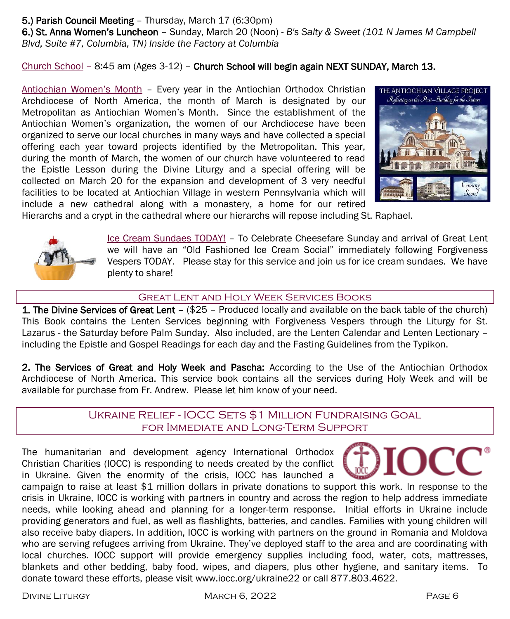#### 5.) Parish Council Meeting – Thursday, March 17 (6:30pm)

6.) St. Anna Women's Luncheon – Sunday, March 20 (Noon) - *B's Salty & Sweet (101 N James M Campbell Blvd, Suite #7, Columbia, TN) Inside the Factory at Columbia*

Church School – 8:45 am (Ages 3-12) – Church School will begin again NEXT SUNDAY, March 13.

Antiochian Women's Month – Every year in the Antiochian Orthodox Christian Archdiocese of North America, the month of March is designated by our Metropolitan as Antiochian Women's Month. Since the establishment of the Antiochian Women's organization, the women of our Archdiocese have been organized to serve our local churches in many ways and have collected a special offering each year toward projects identified by the Metropolitan. This year, during the month of March, the women of our church have volunteered to read the Epistle Lesson during the Divine Liturgy and a special offering will be collected on March 20 for the expansion and development of 3 very needful facilities to be located at Antiochian Village in western Pennsylvania which will include a new cathedral along with a monastery, a home for our retired



Hierarchs and a crypt in the cathedral where our hierarchs will repose including St. Raphael.



Ice Cream Sundaes TODAY! – To Celebrate Cheesefare Sunday and arrival of Great Lent we will have an "Old Fashioned Ice Cream Social" immediately following Forgiveness Vespers TODAY. Please stay for this service and join us for ice cream sundaes. We have plenty to share!

#### GREAT LENT AND HOLY WEEK SERVICES BOOKS

1. The Divine Services of Great Lent – (\$25 - Produced locally and available on the back table of the church) This Book contains the Lenten Services beginning with Forgiveness Vespers through the Liturgy for St. Lazarus - the Saturday before Palm Sunday. Also included, are the Lenten Calendar and Lenten Lectionary – including the Epistle and Gospel Readings for each day and the Fasting Guidelines from the Typikon.

2. The Services of Great and Holy Week and Pascha: According to the Use of the Antiochian Orthodox Archdiocese of North America. This service book contains all the services during Holy Week and will be available for purchase from Fr. Andrew. Please let him know of your need.

#### Ukraine Relief - IOCC Sets \$1 Million Fundraising Goal for Immediate and Long-Term Support

The humanitarian and development agency International Orthodox Christian Charities (IOCC) is responding to needs created by the conflict in Ukraine. Given the enormity of the crisis, IOCC has launched a



campaign to raise at least \$1 million dollars in private donations to support this work. In response to the crisis in Ukraine, IOCC is working with partners in country and across the region to help address immediate needs, while looking ahead and planning for a longer-term response. Initial efforts in Ukraine include providing generators and fuel, as well as flashlights, batteries, and candles. Families with young children will also receive baby diapers. In addition, IOCC is working with partners on the ground in Romania and Moldova who are serving refugees arriving from Ukraine. They've deployed staff to the area and are coordinating with local churches. IOCC support will provide emergency supplies including food, water, cots, mattresses, blankets and other bedding, baby food, wipes, and diapers, plus other hygiene, and sanitary items. To donate toward these efforts, please visit www.iocc.org/ukraine22 or call 877.803.4622.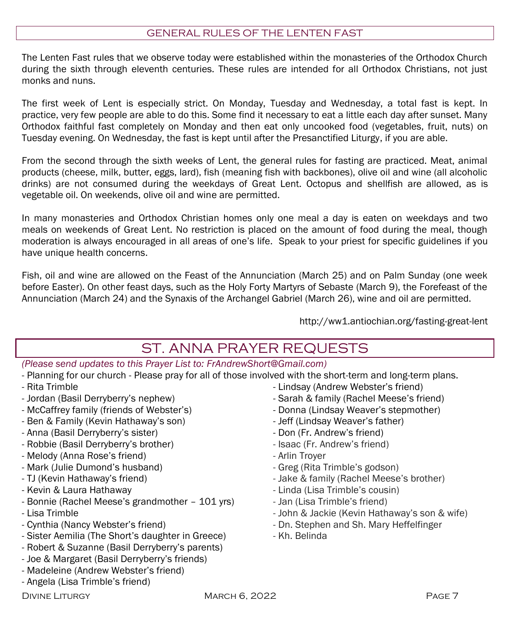#### GENERAL RULES OF THE LENTEN FAST

The Lenten Fast rules that we observe today were established within the monasteries of the Orthodox Church during the sixth through eleventh centuries. These rules are intended for all Orthodox Christians, not just monks and nuns.

The first week of Lent is especially strict. On Monday, Tuesday and Wednesday, a total fast is kept. In practice, very few people are able to do this. Some find it necessary to eat a little each day after sunset. Many Orthodox faithful fast completely on Monday and then eat only uncooked food (vegetables, fruit, nuts) on Tuesday evening. On Wednesday, the fast is kept until after the Presanctified Liturgy, if you are able.

From the second through the sixth weeks of Lent, the general rules for fasting are practiced. Meat, animal products (cheese, milk, butter, eggs, lard), fish (meaning fish with backbones), olive oil and wine (all alcoholic drinks) are not consumed during the weekdays of Great Lent. Octopus and shellfish are allowed, as is vegetable oil. On weekends, olive oil and wine are permitted.

In many monasteries and Orthodox Christian homes only one meal a day is eaten on weekdays and two meals on weekends of Great Lent. No restriction is placed on the amount of food during the meal, though moderation is always encouraged in all areas of one's life. Speak to your priest for specific guidelines if you have unique health concerns.

Fish, oil and wine are allowed on the Feast of the Annunciation (March 25) and on Palm Sunday (one week before Easter). On other feast days, such as the Holy Forty Martyrs of Sebaste (March 9), the Forefeast of the Annunciation (March 24) and the Synaxis of the Archangel Gabriel (March 26), wine and oil are permitted.

http://ww1.antiochian.org/fasting-great-lent

### ST. ANNA PRAYER REQUESTS

*(Please send updates to this Prayer List to: FrAndrewShort@Gmail.com)*

- Planning for our church Please pray for all of those involved with the short-term and long-term plans.
- Rita Trimble
- Jordan (Basil Derryberry's nephew)
- McCaffrey family (friends of Webster's)
- Ben & Family (Kevin Hathaway's son)
- Anna (Basil Derryberry's sister)
- Robbie (Basil Derryberry's brother)
- Melody (Anna Rose's friend)
- Mark (Julie Dumond's husband)
- TJ (Kevin Hathaway's friend)
- Kevin & Laura Hathaway
- Bonnie (Rachel Meese's grandmother 101 yrs)
- Lisa Trimble
- Cynthia (Nancy Webster's friend)
- Sister Aemilia (The Short's daughter in Greece)
- Robert & Suzanne (Basil Derryberry's parents)
- Joe & Margaret (Basil Derryberry's friends)
- Madeleine (Andrew Webster's friend)
- Angela (Lisa Trimble's friend)
- 
- Lindsay (Andrew Webster's friend)
- Sarah & family (Rachel Meese's friend)
- Donna (Lindsay Weaver's stepmother)
- Jeff (Lindsay Weaver's father)
- Don (Fr. Andrew's friend)
- Isaac (Fr. Andrew's friend)
- Arlin Troyer
- Greg (Rita Trimble's godson)
- Jake & family (Rachel Meese's brother)
- Linda (Lisa Trimble's cousin)
- Jan (Lisa Trimble's friend)
- John & Jackie (Kevin Hathaway's son & wife)
- Dn. Stephen and Sh. Mary Heffelfinger
- Kh. Belinda